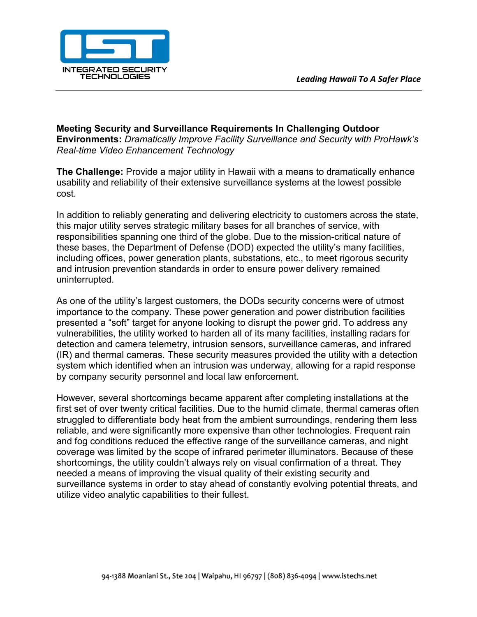

**Meeting Security and Surveillance Requirements In Challenging Outdoor Environments:** *Dramatically Improve Facility Surveillance and Security with ProHawk's Real-time Video Enhancement Technology*

**The Challenge:** Provide a major utility in Hawaii with a means to dramatically enhance usability and reliability of their extensive surveillance systems at the lowest possible cost.

In addition to reliably generating and delivering electricity to customers across the state, this major utility serves strategic military bases for all branches of service, with responsibilities spanning one third of the globe. Due to the mission-critical nature of these bases, the Department of Defense (DOD) expected the utility's many facilities, including offices, power generation plants, substations, etc., to meet rigorous security and intrusion prevention standards in order to ensure power delivery remained uninterrupted.

As one of the utility's largest customers, the DODs security concerns were of utmost importance to the company. These power generation and power distribution facilities presented a "soft" target for anyone looking to disrupt the power grid. To address any vulnerabilities, the utility worked to harden all of its many facilities, installing radars for detection and camera telemetry, intrusion sensors, surveillance cameras, and infrared (IR) and thermal cameras. These security measures provided the utility with a detection system which identified when an intrusion was underway, allowing for a rapid response by company security personnel and local law enforcement.

However, several shortcomings became apparent after completing installations at the first set of over twenty critical facilities. Due to the humid climate, thermal cameras often struggled to differentiate body heat from the ambient surroundings, rendering them less reliable, and were significantly more expensive than other technologies. Frequent rain and fog conditions reduced the effective range of the surveillance cameras, and night coverage was limited by the scope of infrared perimeter illuminators. Because of these shortcomings, the utility couldn't always rely on visual confirmation of a threat. They needed a means of improving the visual quality of their existing security and surveillance systems in order to stay ahead of constantly evolving potential threats, and utilize video analytic capabilities to their fullest.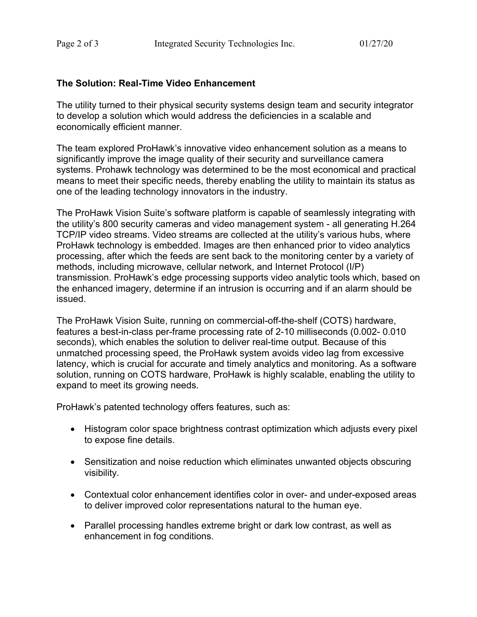## **The Solution: Real-Time Video Enhancement**

The utility turned to their physical security systems design team and security integrator to develop a solution which would address the deficiencies in a scalable and economically efficient manner.

The team explored ProHawk's innovative video enhancement solution as a means to significantly improve the image quality of their security and surveillance camera systems. Prohawk technology was determined to be the most economical and practical means to meet their specific needs, thereby enabling the utility to maintain its status as one of the leading technology innovators in the industry.

The ProHawk Vision Suite's software platform is capable of seamlessly integrating with the utility's 800 security cameras and video management system - all generating H.264 TCP/IP video streams. Video streams are collected at the utility's various hubs, where ProHawk technology is embedded. Images are then enhanced prior to video analytics processing, after which the feeds are sent back to the monitoring center by a variety of methods, including microwave, cellular network, and Internet Protocol (I/P) transmission. ProHawk's edge processing supports video analytic tools which, based on the enhanced imagery, determine if an intrusion is occurring and if an alarm should be issued.

The ProHawk Vision Suite, running on commercial-off-the-shelf (COTS) hardware, features a best-in-class per-frame processing rate of 2-10 milliseconds (0.002- 0.010 seconds), which enables the solution to deliver real-time output. Because of this unmatched processing speed, the ProHawk system avoids video lag from excessive latency, which is crucial for accurate and timely analytics and monitoring. As a software solution, running on COTS hardware, ProHawk is highly scalable, enabling the utility to expand to meet its growing needs.

ProHawk's patented technology offers features, such as:

- Histogram color space brightness contrast optimization which adjusts every pixel to expose fine details.
- Sensitization and noise reduction which eliminates unwanted objects obscuring visibility.
- Contextual color enhancement identifies color in over- and under-exposed areas to deliver improved color representations natural to the human eye.
- Parallel processing handles extreme bright or dark low contrast, as well as enhancement in fog conditions.